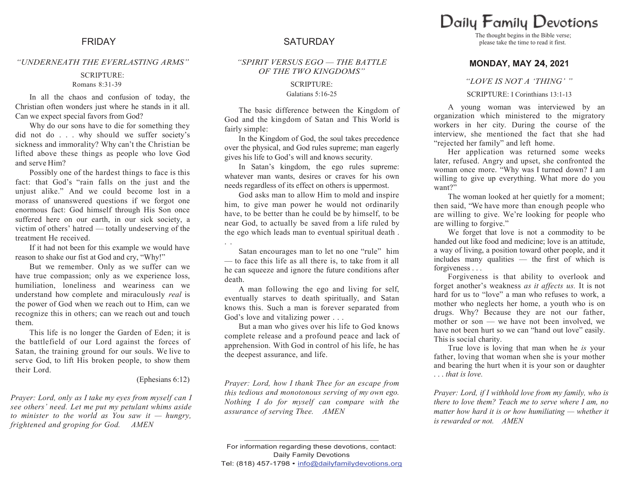## *"UNDERNEATH THE EVERLASTING ARMS"*

# SCRIPTURE:

### Romans 8:31-39

In all the chaos and confusion of today, the Christian often wonders just where he stands in it all. Can we expect special favors from God?

Why do our sons have to die for something they did not do . . . why should we suffer society's sickness and immorality? Why can't the Christian be lifted above these things as people who love God and serve Him?

Possibly one of the hardest things to face is this fact: that God's "rain falls on the just and the unjust alike." And we could become lost in a morass of unanswered questions if we forgot one enormous fact: God himself through His Son once suffered here on our earth, in our sick society, a victim of others' hatred — totally undeserving of the treatment He received.

If it had not been for this example we would have reason to shake our fist at God and cry, "Why!"

But we remember. Only as we suffer can we have true compassion; only as we experience loss, humiliation, loneliness and weariness can we understand how complete and miraculously *real* is the power of God when we reach out to Him, can we recognize this in others; can we reach out and touch them.

This life is no longer the Garden of Eden; it is the battlefield of our Lord against the forces of Satan, the training ground for our souls. We live to serve God, to lift His broken people, to show them their Lord.

### (Ephesians 6:12)

*Prayer: Lord, only as I take my eyes from myself can I see others" need. Let me put my petulant whims aside to minister to the world as You saw it — hungry, frightened and groping for God. AMEN*

# FRIDAY SATURDAY

*"SPIRIT VERSUS EGO — THE BATTLE OF THE TWO KINGDOMS"*

### SCRIPTURE: Galatians 5:16-25

The basic difference between the Kingdom of God and the kingdom of Satan and This World is fairly simple:

In the Kingdom of God, the soul takes precedence over the physical, and God rules supreme; man eagerly gives his life to God's will and knows security.

In Satan's kingdom, the ego rules supreme: whatever man wants, desires or craves for his own needs regardless of its effect on others is uppermost.

God asks man to allow Him to mold and inspire him, to give man power he would not ordinarily have, to be better than he could be by himself, to be near God, to actually be saved from a life ruled by the ego which leads man to eventual spiritual death .

. .

Satan encourages man to let no one "rule" him — to face this life as all there is, to take from it all he can squeeze and ignore the future conditions after death.

A man following the ego and living for self, eventually starves to death spiritually, and Satan knows this. Such a man is forever separated from God's love and vitalizing power . . .

But a man who gives over his life to God knows complete release and a profound peace and lack of apprehension. With God in control of his life, he has the deepest assurance, and life.

*Prayer: Lord, how I thank Thee for an escape from this tedious and monotonous serving of my own ego. Nothing I do for myself can compare with the assurance of serving Thee. AMEN*

please take the time to read it first.

# **MONDAY, MAY 24, 2021**

*"LOVE IS NOT A "THING" "*

SCRIPTURE: I Corinthians 13:1-13

A young woman was interviewed by an organization which ministered to the migratory workers in her city. During the course of the interview, she mentioned the fact that she had "rejected her family" and left home.

Her application was returned some weeks later, refused. Angry and upset, she confronted the woman once more. "Why was I turned down? I am willing to give up everything. What more do you want?"

The woman looked at her quietly for a moment; then said, "We have more than enough people who are willing to give. We're looking for people who are willing to forgive."

We forget that love is not a commodity to be handed out like food and medicine; love is an attitude, a way of living, a position toward other people, and it includes many qualities — the first of which is forgiveness . . .

Forgiveness is that ability to overlook and forget another's weakness *as it affects us.* It is not hard for us to "love" a man who refuses to work, a mother who neglects her home, a youth who is on drugs. Why? Because they are not our father, mother or son — we have not been involved, we have not been hurt so we can "hand out love" easily. Thisis social charity.

True love is loving that man when he *is* your father, loving that woman when she is your mother and bearing the hurt when it is your son or daughter . . . *that is love.*

*Prayer: Lord, if I withhold love from my family, who is there to love them? Teach me to serve where I am, no matter how hard it is or how humiliating — whether it is rewarded or not. AMEN*

For information regarding these devotions, contact: Daily Family Devotions Tel: (818) 457-1798 • info@dailyfamilydevotions.org

**\_\_\_\_\_\_\_\_\_\_\_\_\_\_\_\_\_\_\_\_\_\_\_\_\_\_\_\_\_\_\_\_\_\_\_\_\_\_\_\_\_\_\_\_**